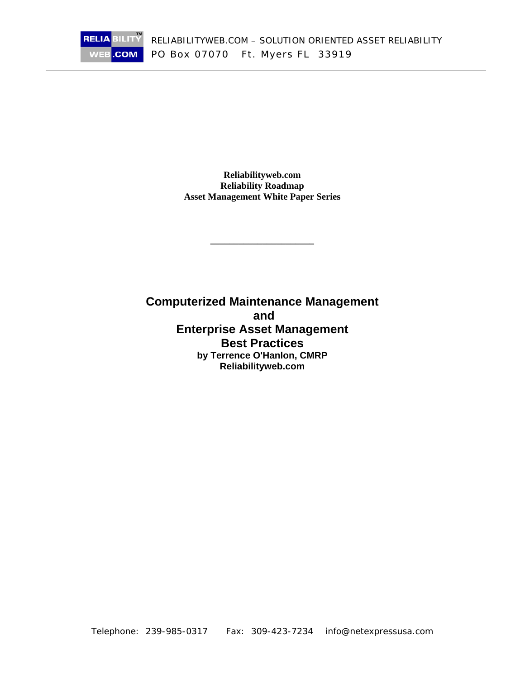**Reliabilityweb.com Reliability Roadmap Asset Management White Paper Series** 

**RELIA BILITY** 

 $NEB$ 

.COM

**\_\_\_\_\_\_\_\_\_\_\_\_\_\_\_\_\_\_\_\_\_\_** 

**Computerized Maintenance Management and Enterprise Asset Management Best Practices by Terrence O'Hanlon, CMRP Reliabilityweb.com**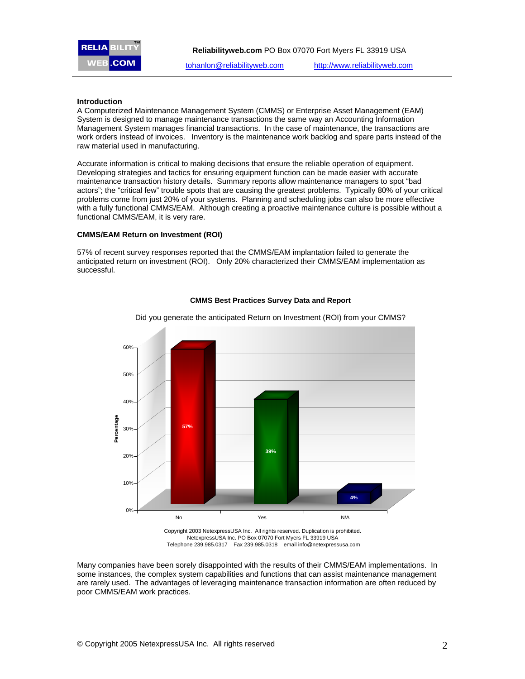

#### **Introduction**

A Computerized Maintenance Management System (CMMS) or Enterprise Asset Management (EAM) System is designed to manage maintenance transactions the same way an Accounting Information Management System manages financial transactions. In the case of maintenance, the transactions are work orders instead of invoices. Inventory is the maintenance work backlog and spare parts instead of the raw material used in manufacturing.

Accurate information is critical to making decisions that ensure the reliable operation of equipment. Developing strategies and tactics for ensuring equipment function can be made easier with accurate maintenance transaction history details. Summary reports allow maintenance managers to spot "bad actors"; the "critical few" trouble spots that are causing the greatest problems. Typically 80% of your critical problems come from just 20% of your systems. Planning and scheduling jobs can also be more effective with a fully functional CMMS/EAM. Although creating a proactive maintenance culture is possible without a functional CMMS/EAM, it is very rare.

#### **CMMS/EAM Return on Investment (ROI)**

57% of recent survey responses reported that the CMMS/EAM implantation failed to generate the anticipated return on investment (ROI). Only 20% characterized their CMMS/EAM implementation as successful.



**CMMS Best Practices Survey Data and Report**

NetexpressUSA Inc. PO Box 07070 Fort Myers FL 33919 USA Telephone 239.985.0317 Fax 239.985.0318 email info@netexpressusa.com

Many companies have been sorely disappointed with the results of their CMMS/EAM implementations. In some instances, the complex system capabilities and functions that can assist maintenance management are rarely used. The advantages of leveraging maintenance transaction information are often reduced by poor CMMS/EAM work practices.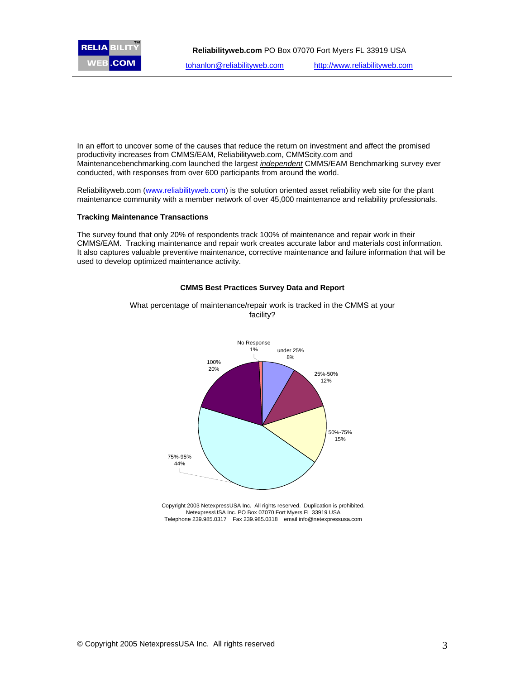

In an effort to uncover some of the causes that reduce the return on investment and affect the promised productivity increases from CMMS/EAM, Reliabilityweb.com, CMMScity.com and Maintenancebenchmarking.com launched the largest *independent* CMMS/EAM Benchmarking survey ever conducted, with responses from over 600 participants from around the world.

Reliabilityweb.com (www.reliabilityweb.com) is the solution oriented asset reliability web site for the plant maintenance community with a member network of over 45,000 maintenance and reliability professionals.

# **Tracking Maintenance Transactions**

The survey found that only 20% of respondents track 100% of maintenance and repair work in their CMMS/EAM. Tracking maintenance and repair work creates accurate labor and materials cost information. It also captures valuable preventive maintenance, corrective maintenance and failure information that will be used to develop optimized maintenance activity.



#### **CMMS Best Practices Survey Data and Report**

What percentage of maintenance/repair work is tracked in the CMMS at your facility?

> Copyright 2003 NetexpressUSA Inc. All rights reserved. Duplication is prohibited. NetexpressUSA Inc. PO Box 07070 Fort Myers FL 33919 USA Telephone 239.985.0317 Fax 239.985.0318 email info@netexpressusa.com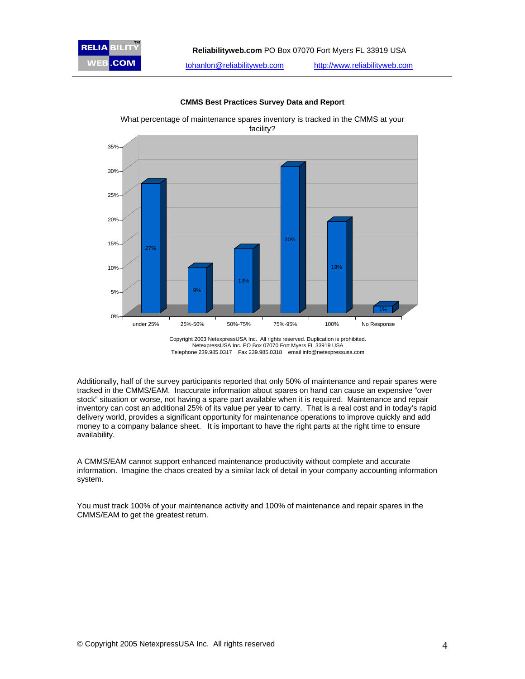

**CMMS Best Practices Survey Data and Report**

What percentage of maintenance spares inventory is tracked in the CMMS at your facility?

> Copyright 2003 NetexpressUSA Inc. All rights reserved. Duplication is prohibited. NetexpressUSA Inc. PO Box 07070 Fort Myers FL 33919 USA Telephone 239.985.0317 Fax 239.985.0318 email info@netexpressusa.com

Additionally, half of the survey participants reported that only 50% of maintenance and repair spares were tracked in the CMMS/EAM. Inaccurate information about spares on hand can cause an expensive "over stock" situation or worse, not having a spare part available when it is required. Maintenance and repair inventory can cost an additional 25% of its value per year to carry. That is a real cost and in today's rapid delivery world, provides a significant opportunity for maintenance operations to improve quickly and add money to a company balance sheet. It is important to have the right parts at the right time to ensure availability.

A CMMS/EAM cannot support enhanced maintenance productivity without complete and accurate information. Imagine the chaos created by a similar lack of detail in your company accounting information system.

You must track 100% of your maintenance activity and 100% of maintenance and repair spares in the CMMS/EAM to get the greatest return.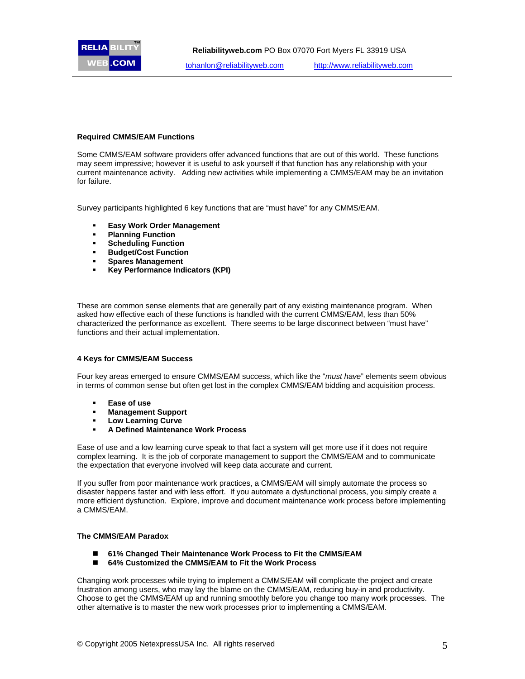

# **Required CMMS/EAM Functions**

Some CMMS/EAM software providers offer advanced functions that are out of this world. These functions may seem impressive; however it is useful to ask yourself if that function has any relationship with your current maintenance activity. Adding new activities while implementing a CMMS/EAM may be an invitation for failure.

Survey participants highlighted 6 key functions that are "must have" for any CMMS/EAM.

- **Easy Work Order Management**
- **Planning Function**
- **Scheduling Function**
- **Budget/Cost Function**
- **Spares Management**
- **Key Performance Indicators (KPI)**

These are common sense elements that are generally part of any existing maintenance program. When asked how effective each of these functions is handled with the current CMMS/EAM, less than 50% characterized the performance as excellent. There seems to be large disconnect between "must have" functions and their actual implementation.

# **4 Keys for CMMS/EAM Success**

Four key areas emerged to ensure CMMS/EAM success, which like the "*must have*" elements seem obvious in terms of common sense but often get lost in the complex CMMS/EAM bidding and acquisition process.

- **Ease of use**
- **Management Support**
- **Low Learning Curve**
- **A Defined Maintenance Work Process**

Ease of use and a low learning curve speak to that fact a system will get more use if it does not require complex learning. It is the job of corporate management to support the CMMS/EAM and to communicate the expectation that everyone involved will keep data accurate and current.

If you suffer from poor maintenance work practices, a CMMS/EAM will simply automate the process so disaster happens faster and with less effort. If you automate a dysfunctional process, you simply create a more efficient dysfunction. Explore, improve and document maintenance work process before implementing a CMMS/EAM.

# **The CMMS/EAM Paradox**

- **61% Changed Their Maintenance Work Process to Fit the CMMS/EAM**
- **64% Customized the CMMS/EAM to Fit the Work Process**

Changing work processes while trying to implement a CMMS/EAM will complicate the project and create frustration among users, who may lay the blame on the CMMS/EAM, reducing buy-in and productivity. Choose to get the CMMS/EAM up and running smoothly before you change too many work processes. The other alternative is to master the new work processes prior to implementing a CMMS/EAM.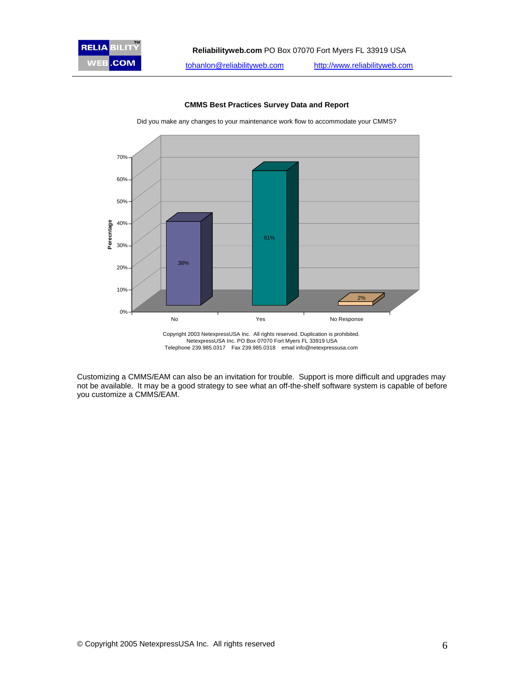# 70% 60% 50% **Perecntage** 40% Perecntage 61% 30% 38% 20% 10% 2% 0% No No Response No Response

#### **CMMS Best Practices Survey Data and Report**

Did you make any changes to your maintenance work flow to accommodate your CMMS?

Customizing a CMMS/EAM can also be an invitation for trouble. Support is more difficult and upgrades may not be available. It may be a good strategy to see what an off-the-shelf software system is capable of before you customize a CMMS/EAM.

Copyright 2003 NetexpressUSA Inc. All rights reserved. Duplication is prohibited. NetexpressUSA Inc. PO Box 07070 Fort Myers FL 33919 USA Telephone 239.985.0317 Fax 239.985.0318 email info@netexpressusa.com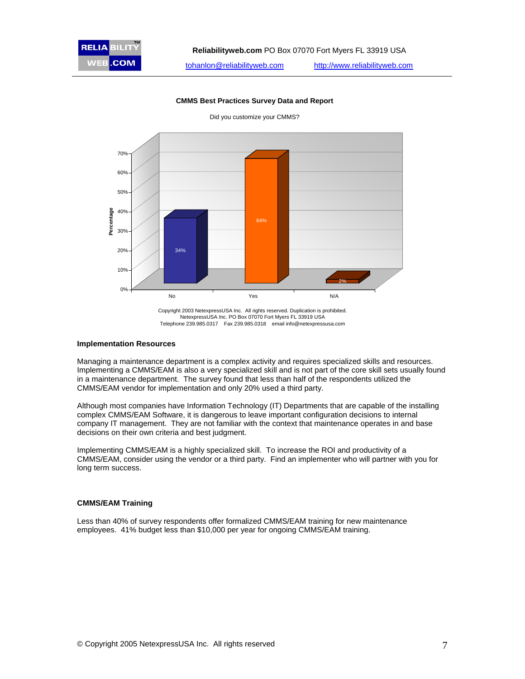

**CMMS Best Practices Survey Data and Report**

Copyright 2003 NetexpressUSA Inc. All rights reserved. Duplication is prohibited. NetexpressUSA Inc. PO Box 07070 Fort Myers FL 33919 USA Telephone 239.985.0317 Fax 239.985.0318 email info@netexpressusa.com

#### **Implementation Resources**

Managing a maintenance department is a complex activity and requires specialized skills and resources. Implementing a CMMS/EAM is also a very specialized skill and is not part of the core skill sets usually found in a maintenance department. The survey found that less than half of the respondents utilized the CMMS/EAM vendor for implementation and only 20% used a third party.

Although most companies have Information Technology (IT) Departments that are capable of the installing complex CMMS/EAM Software, it is dangerous to leave important configuration decisions to internal company IT management. They are not familiar with the context that maintenance operates in and base decisions on their own criteria and best judgment.

Implementing CMMS/EAM is a highly specialized skill. To increase the ROI and productivity of a CMMS/EAM, consider using the vendor or a third party. Find an implementer who will partner with you for long term success.

#### **CMMS/EAM Training**

Less than 40% of survey respondents offer formalized CMMS/EAM training for new maintenance employees. 41% budget less than \$10,000 per year for ongoing CMMS/EAM training.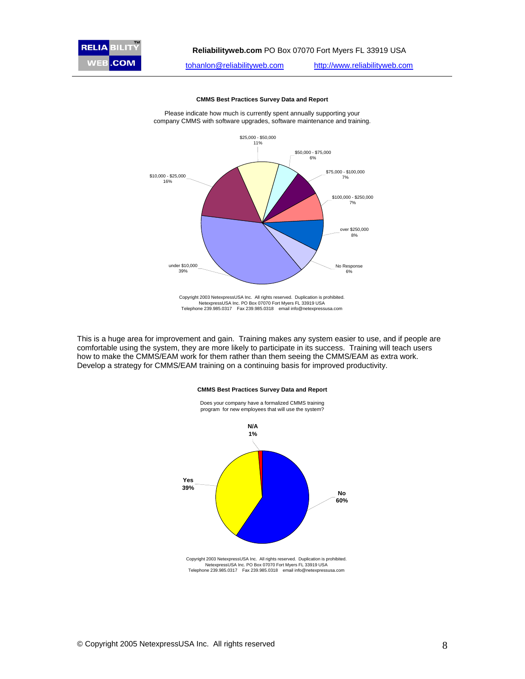



**CMMS Best Practices Survey Data and Report**

Please indicate how much is currently spent annually supporting your company CMMS with software upgrades, software maintenance and training.

This is a huge area for improvement and gain. Training makes any system easier to use, and if people are comfortable using the system, they are more likely to participate in its success. Training will teach users how to make the CMMS/EAM work for them rather than them seeing the CMMS/EAM as extra work. Develop a strategy for CMMS/EAM training on a continuing basis for improved productivity.

# **CMMS Best Practices Survey Data and Report** Does your company have a formalized CMMS training



NetexpressUSA Inc. PO Box 07070 Fort Myers FL 33919 USA Telephone 239.985.0317 Fax 239.985.0318 email info@netexpressusa.com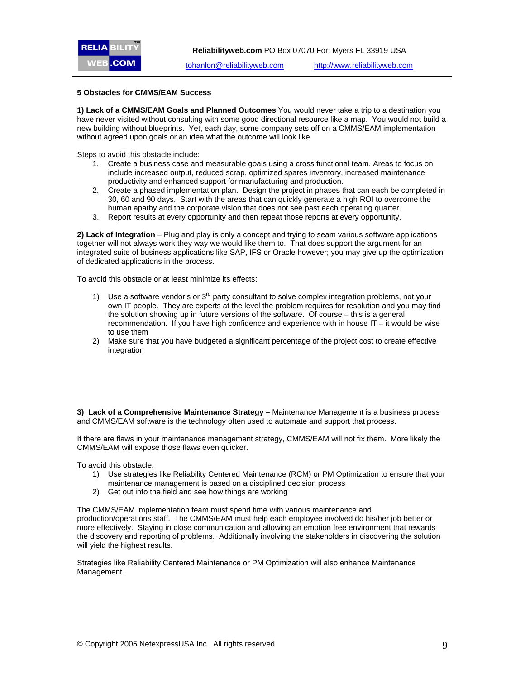### **5 Obstacles for CMMS/EAM Success**

**1) Lack of a CMMS/EAM Goals and Planned Outcomes** You would never take a trip to a destination you have never visited without consulting with some good directional resource like a map. You would not build a new building without blueprints. Yet, each day, some company sets off on a CMMS/EAM implementation without agreed upon goals or an idea what the outcome will look like.

Steps to avoid this obstacle include:

- 1. Create a business case and measurable goals using a cross functional team. Areas to focus on include increased output, reduced scrap, optimized spares inventory, increased maintenance productivity and enhanced support for manufacturing and production.
- 2. Create a phased implementation plan. Design the project in phases that can each be completed in 30, 60 and 90 days. Start with the areas that can quickly generate a high ROI to overcome the human apathy and the corporate vision that does not see past each operating quarter.
- 3. Report results at every opportunity and then repeat those reports at every opportunity.

**2) Lack of Integration** – Plug and play is only a concept and trying to seam various software applications together will not always work they way we would like them to. That does support the argument for an integrated suite of business applications like SAP, IFS or Oracle however; you may give up the optimization of dedicated applications in the process.

To avoid this obstacle or at least minimize its effects:

- 1) Use a software vendor's or  $3<sup>rd</sup>$  party consultant to solve complex integration problems, not your own IT people. They are experts at the level the problem requires for resolution and you may find the solution showing up in future versions of the software. Of course – this is a general recommendation. If you have high confidence and experience with in house IT – it would be wise to use them
- 2) Make sure that you have budgeted a significant percentage of the project cost to create effective integration

**3) Lack of a Comprehensive Maintenance Strategy** – Maintenance Management is a business process and CMMS/EAM software is the technology often used to automate and support that process.

If there are flaws in your maintenance management strategy, CMMS/EAM will not fix them. More likely the CMMS/EAM will expose those flaws even quicker.

To avoid this obstacle:

- 1) Use strategies like Reliability Centered Maintenance (RCM) or PM Optimization to ensure that your maintenance management is based on a disciplined decision process
- 2) Get out into the field and see how things are working

The CMMS/EAM implementation team must spend time with various maintenance and production/operations staff. The CMMS/EAM must help each employee involved do his/her job better or more effectively. Staying in close communication and allowing an emotion free environment that rewards the discovery and reporting of problems. Additionally involving the stakeholders in discovering the solution will yield the highest results.

Strategies like Reliability Centered Maintenance or PM Optimization will also enhance Maintenance Management.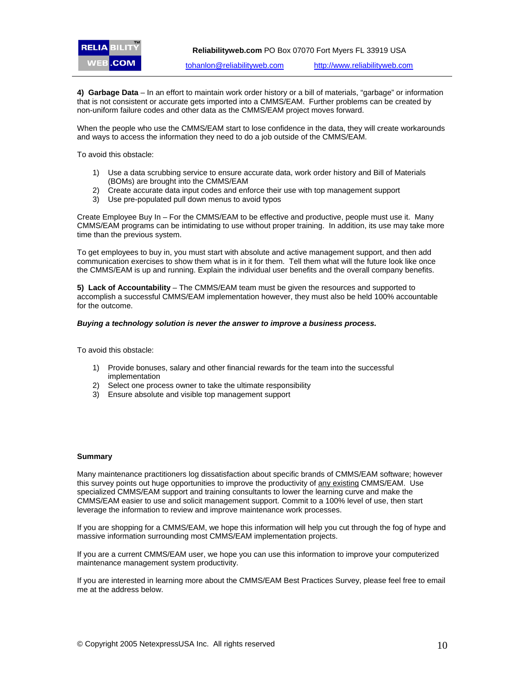**4) Garbage Data** – In an effort to maintain work order history or a bill of materials, "garbage" or information that is not consistent or accurate gets imported into a CMMS/EAM. Further problems can be created by non-uniform failure codes and other data as the CMMS/EAM project moves forward.

When the people who use the CMMS/EAM start to lose confidence in the data, they will create workarounds and ways to access the information they need to do a job outside of the CMMS/EAM.

To avoid this obstacle:

- 1) Use a data scrubbing service to ensure accurate data, work order history and Bill of Materials (BOMs) are brought into the CMMS/EAM
- 2) Create accurate data input codes and enforce their use with top management support
- 3) Use pre-populated pull down menus to avoid typos

Create Employee Buy In – For the CMMS/EAM to be effective and productive, people must use it. Many CMMS/EAM programs can be intimidating to use without proper training. In addition, its use may take more time than the previous system.

To get employees to buy in, you must start with absolute and active management support, and then add communication exercises to show them what is in it for them. Tell them what will the future look like once the CMMS/EAM is up and running. Explain the individual user benefits and the overall company benefits.

**5) Lack of Accountability** – The CMMS/EAM team must be given the resources and supported to accomplish a successful CMMS/EAM implementation however, they must also be held 100% accountable for the outcome.

#### *Buying a technology solution is never the answer to improve a business process.*

To avoid this obstacle:

- 1) Provide bonuses, salary and other financial rewards for the team into the successful implementation
- 2) Select one process owner to take the ultimate responsibility
- 3) Ensure absolute and visible top management support

#### **Summary**

Many maintenance practitioners log dissatisfaction about specific brands of CMMS/EAM software; however this survey points out huge opportunities to improve the productivity of any existing CMMS/EAM. Use specialized CMMS/EAM support and training consultants to lower the learning curve and make the CMMS/EAM easier to use and solicit management support. Commit to a 100% level of use, then start leverage the information to review and improve maintenance work processes.

If you are shopping for a CMMS/EAM, we hope this information will help you cut through the fog of hype and massive information surrounding most CMMS/EAM implementation projects.

If you are a current CMMS/EAM user, we hope you can use this information to improve your computerized maintenance management system productivity.

If you are interested in learning more about the CMMS/EAM Best Practices Survey, please feel free to email me at the address below.